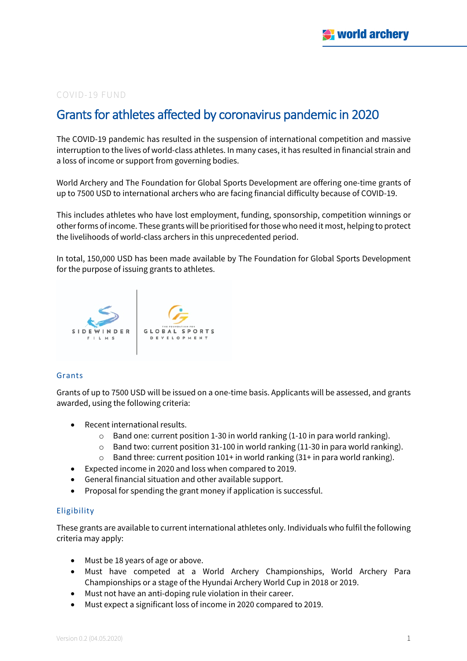# COVID-19 FUND

# Grants for athletes affected by coronavirus pandemic in 2020

The COVID-19 pandemic has resulted in the suspension of international competition and massive interruption to the lives of world-class athletes. In many cases, it has resulted in financial strain and a loss of income or support from governing bodies.

World Archery and The Foundation for Global Sports Development are offering one-time grants of up to 7500 USD to international archers who are facing financial difficulty because of COVID-19.

This includes athletes who have lost employment, funding, sponsorship, competition winnings or other forms of income. These grants will be prioritised for those who need it most, helping to protect the livelihoods of world-class archers in this unprecedented period.

In total, 150,000 USD has been made available by The Foundation for Global Sports Development for the purpose of issuing grants to athletes.



### Grants

Grants of up to 7500 USD will be issued on a one-time basis. Applicants will be assessed, and grants awarded, using the following criteria:

- Recent international results.
	- $\circ$  Band one: current position 1-30 in world ranking (1-10 in para world ranking).
	- $\circ$  Band two: current position 31-100 in world ranking (11-30 in para world ranking).
	- $\circ$  Band three: current position 101+ in world ranking (31+ in para world ranking).
- Expected income in 2020 and loss when compared to 2019.
- General financial situation and other available support.
- Proposal for spending the grant money if application is successful.

# Eligibility

These grants are available to current international athletes only. Individuals who fulfil the following criteria may apply:

- Must be 18 years of age or above.
- Must have competed at a World Archery Championships, World Archery Para Championships or a stage of the Hyundai Archery World Cup in 2018 or 2019.
- Must not have an anti-doping rule violation in their career.
- Must expect a significant loss of income in 2020 compared to 2019.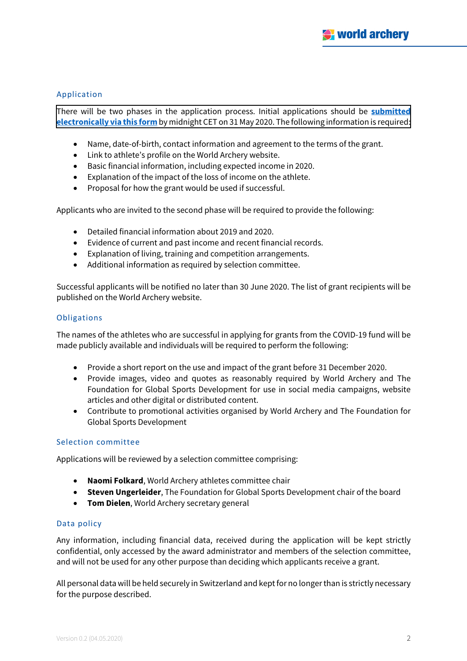# Application

[There will be two phases in the application process. Initial applications should be](https://archy.re/COVID19FUNDARCHERY) **submitted electronically via this form** by midnight CET on 31 May 2020. The following information is required:

- Name, date-of-birth, contact information and agreement to the terms of the grant.
- Link to athlete's profile on the World Archery website.
- Basic financial information, including expected income in 2020.
- Explanation of the impact of the loss of income on the athlete.
- Proposal for how the grant would be used if successful.

Applicants who are invited to the second phase will be required to provide the following:

- Detailed financial information about 2019 and 2020.
- Evidence of current and past income and recent financial records.
- Explanation of living, training and competition arrangements.
- Additional information as required by selection committee.

Successful applicants will be notified no later than 30 June 2020. The list of grant recipients will be published on the World Archery website.

### **Obligations**

The names of the athletes who are successful in applying for grants from the COVID-19 fund will be made publicly available and individuals will be required to perform the following:

- Provide a short report on the use and impact of the grant before 31 December 2020.
- Provide images, video and quotes as reasonably required by World Archery and The Foundation for Global Sports Development for use in social media campaigns, website articles and other digital or distributed content.
- Contribute to promotional activities organised by World Archery and The Foundation for Global Sports Development

### Selection committee

Applications will be reviewed by a selection committee comprising:

- **Naomi Folkard**, World Archery athletes committee chair
- **Steven Ungerleider**, The Foundation for Global Sports Development chair of the board
- **Tom Dielen**, World Archery secretary general

### Data policy

Any information, including financial data, received during the application will be kept strictly confidential, only accessed by the award administrator and members of the selection committee, and will not be used for any other purpose than deciding which applicants receive a grant.

All personal data will be held securely in Switzerland and kept for no longer than is strictly necessary for the purpose described.